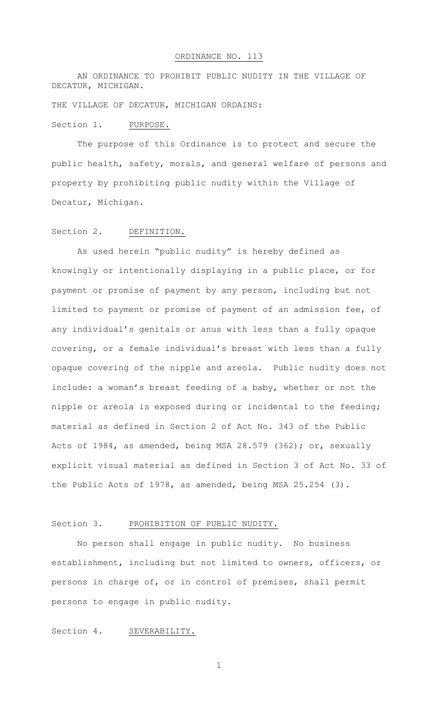AN ORDINANCE TO PROHIBIT PUBLIC NUDITY IN THE VILLAGE OF DECATUR, MICHIGAN.

THE VILLAGE OF DECATUR, MICHIGAN ORDAINS:

#### Section 1. PURPOSE.

The purpose of this Ordinance is to protect and secure the public health, safety, morals, and general welfare of persons and property by prohibiting public nudity within the Village of Decatur, Michigan.

#### Section 2. DEFINITION.

As used herein "public nudity" is hereby defined as knowingly or intentionally displaying in a public place, or for payment or promise of payment by any person, including but not limited to payment or promise of payment of an admission fee, of any individual's genitals or anus with less than a fully opaque covering, or a female individual's breast with less than a fully opaque covering of the nipple and areola. Public nudity does not include: a woman's breast feeding of a baby, whether or not the nipple or areola is exposed during or incidental to the feeding; material as defined in Section 2 of Act No. 343 of the Public Acts of 1984, as amended, being MSA 28.579 (362); or, sexually explicit visual material as defined in Section 3 of Act No. 33 of the Public Acts of 1978, as amended, being MSA 25.254 (3).

### Section 3. PROHIBITION OF PUBLIC NUDITY.

No person shall engage in public nudity. No business establishment, including but not limited to owners, officers, or persons in charge of, or in control of premises, shall permit persons to engage in public nudity.

# Section 4. SEVERABILITY.

1